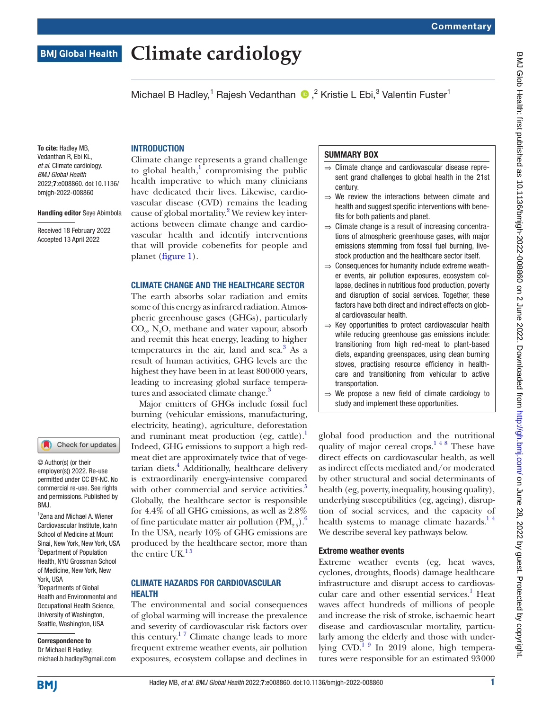# Michael B Hadley,<sup>1</sup> Rajesh Vedanthan (D,<sup>2</sup> Kristie L Ebi,<sup>3</sup> Valentin Fuster<sup>1</sup> **INTRODUCTION** Climate change represents a grand challenge to global health, $\frac{1}{2}$  $\frac{1}{2}$  $\frac{1}{2}$  compromising the public

health imperative to which many clinicians have dedicated their lives. Likewise, cardiovascular disease (CVD) remains the leading cause of global mortality.<sup>[2](#page-2-1)</sup> We review key interactions between climate change and cardiovascular health and identify interventions that will provide cobenefits for people and planet [\(figure](#page-1-0) 1).

**Climate cardiology**

## CLIMATE CHANGE AND THE HEALTHCARE SECTOR

The earth absorbs solar radiation and emits some of this energy as infrared radiation. Atmospheric greenhouse gases (GHGs), particularly  $CO_{2}$ , N<sub>2</sub>O, methane and water vapour, absorb and reemit this heat energy, leading to higher temperatures in the air, land and  $\text{sea.}^3$  As a result of human activities, GHG levels are the highest they have been in at least 800000 years, leading to increasing global surface tempera-tures and associated climate change.<sup>[3](#page-2-2)</sup>

Major emitters of GHGs include fossil fuel burning (vehicular emissions, manufacturing, electricity, heating), agriculture, deforestation and ruminant meat production (eg, cattle). $\cdot$ Indeed, GHG emissions to support a high redmeat diet are approximately twice that of vegetarian diets.<sup>4</sup> Additionally, healthcare delivery is extraordinarily energy-intensive compared with other commercial and service activities.<sup>5</sup> Globally, the healthcare sector is responsible for 4.4% of all GHG emissions, as well as 2.8% of fine particulate matter air pollution  $(PM_{25})$ . In the USA, nearly 10% of GHG emissions are produced by the healthcare sector, more than the entire  $UK.<sup>15</sup>$ 

#### CLIMATE HAZARDS FOR CARDIOVASCULAR HEALTH

The environmental and social consequences of global warming will increase the prevalence and severity of cardiovascular risk factors over this century.<sup>17</sup> Climate change leads to more frequent extreme weather events, air pollution exposures, ecosystem collapse and declines in

## SUMMARY BOX

- ⇒ Climate change and cardiovascular disease represent grand challenges to global health in the 21st century.
- ⇒ We review the interactions between climate and health and suggest specific interventions with benefits for both patients and planet.
- $\Rightarrow$  Climate change is a result of increasing concentrations of atmospheric greenhouse gases, with major emissions stemming from fossil fuel burning, livestock production and the healthcare sector itself.
- ⇒ Consequences for humanity include extreme weather events, air pollution exposures, ecosystem collapse, declines in nutritious food production, poverty and disruption of social services. Together, these factors have both direct and indirect effects on global cardiovascular health.
- $\Rightarrow$  Key opportunities to protect cardiovascular health while reducing greenhouse gas emissions include: transitioning from high red-meat to plant-based diets, expanding greenspaces, using clean burning stoves, practising resource efficiency in healthcare and transitioning from vehicular to active transportation.
- ⇒ We propose a new field of climate cardiology to study and implement these opportunities.

global food production and the nutritional quality of major cereal crops.<sup>148</sup> These have direct effects on cardiovascular health, as well as indirect effects mediated and/or moderated by other structural and social determinants of health (eg, poverty, inequality, housing quality), underlying susceptibilities (eg, ageing), disruption of social services, and the capacity of health systems to manage climate hazards. $14$ We describe several key pathways below.

## Extreme weather events

Extreme weather events (eg, heat waves, cyclones, droughts, floods) damage healthcare infrastructure and disrupt access to cardiovascular care and other essential services.<sup>1</sup> Heat waves affect hundreds of millions of people and increase the risk of stroke, ischaemic heart disease and cardiovascular mortality, particularly among the elderly and those with underlying  $CVD$ <sup>1 9</sup> In 2019 alone, high temperatures were responsible for an estimated 93000

**BMI** 

York, USA

RM<sub>J</sub>

3 Departments of Global Health and Environmental and Occupational Health Science, University of Washington, Seattle, Washington, USA

Correspondence to Dr Michael B Hadley; michael.b.hadley@gmail.com

1 Zena and Michael A. Wiener Cardiovascular Institute, Icahn School of Medicine at Mount Sinai, New York, New York, USA <sup>2</sup>Department of Population Health, NYU Grossman School of Medicine, New York, New

Check for updates

© Author(s) (or their employer(s)) 2022. Re-use permitted under CC BY-NC. No commercial re-use. See rights and permissions. Published by

To cite: Hadley MB, Vedanthan R, Ebi KL, *et al*. Climate cardiology. *BMJ Global Health*

2022;7:e008860. doi:10.1136/ bmjgh-2022-008860

**BMJ Global Health** 

Handling editor Seye Abimbola Received 18 February 2022 Accepted 13 April 2022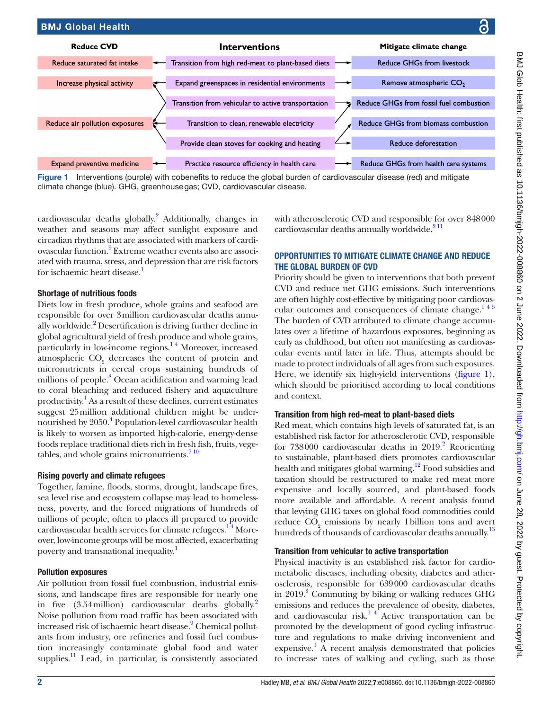

<span id="page-1-0"></span>Figure 1 Interventions (purple) with cobenefits to reduce the global burden of cardiovascular disease (red) and mitigate climate change (blue). GHG, greenhousegas; CVD, cardiovascular disease.

cardiovascular deaths globally.<sup>2</sup> Additionally, changes in weather and seasons may affect sunlight exposure and circadian rhythms that are associated with markers of cardiovascular function.<sup>9</sup> Extreme weather events also are associated with trauma, stress, and depression that are risk factors for ischaemic heart disease.<sup>1</sup>

## Shortage of nutritious foods

Diets low in fresh produce, whole grains and seafood are responsible for over 3million cardiovascular deaths annually worldwide.<sup>2</sup> Desertification is driving further decline in global agricultural yield of fresh produce and whole grains, particularly in low-income regions.<sup>14</sup> Moreover, increased atmospheric  $\text{CO}_2$  decreases the content of protein and micronutrients in cereal crops sustaining hundreds of millions of people.<sup>8</sup> Ocean acidification and warming lead to coral bleaching and reduced fishery and aquaculture productivity.<sup>1</sup> As a result of these declines, current estimates suggest 25million additional children might be undernourished by 2050.<sup>4</sup> Population-level cardiovascular health is likely to worsen as imported high-calorie, energy-dense foods replace traditional diets rich in fresh fish, fruits, vegetables, and whole grains micronutrients. $710$ 

## Rising poverty and climate refugees

Together, famine, floods, storms, drought, landscape fires, sea level rise and ecosystem collapse may lead to homelessness, poverty, and the forced migrations of hundreds of millions of people, often to places ill prepared to provide cardiovascular health services for climate refugees.<sup>14</sup> Moreover, low-income groups will be most affected, exacerbating poverty and transnational inequality.<sup>1</sup>

## Pollution exposures

Air pollution from fossil fuel combustion, industrial emissions, and landscape fires are responsible for nearly one in five (3.54 million) cardiovascular deaths globally.<sup>[2](#page-2-1)</sup> Noise pollution from road traffic has been associated with increased risk of ischaemic heart disease.<sup>[9](#page-2-6)</sup> Chemical pollutants from industry, ore refineries and fossil fuel combustion increasingly contaminate global food and water supplies.<sup>11</sup> Lead, in particular, is consistently associated

with atherosclerotic CVD and responsible for over 848000 cardiovascular deaths annually worldwide. $2<sup>11</sup>$ 

# OPPORTUNITIES TO MITIGATE CLIMATE CHANGE AND REDUCE THE GLOBAL BURDEN OF CVD

Priority should be given to interventions that both prevent CVD and reduce net GHG emissions. Such interventions are often highly cost-effective by mitigating poor cardiovascular outcomes and consequences of climate change. $145$ The burden of CVD attributed to climate change accumulates over a lifetime of hazardous exposures, beginning as early as childhood, but often not manifesting as cardiovascular events until later in life. Thus, attempts should be made to protect individuals of all ages from such exposures. Here, we identify six high-yield interventions [\(figure](#page-1-0) 1), which should be prioritised according to local conditions and context.

# Transition from high red-meat to plant-based diets

Red meat, which contains high levels of saturated fat, is an established risk factor for atherosclerotic CVD, responsible for  $738000$  cardiovascular deaths in  $2019$ .<sup>2</sup> Reorienting to sustainable, plant-based diets promotes cardiovascular health and mitigates global warming.<sup>12</sup> Food subsidies and taxation should be restructured to make red meat more expensive and locally sourced, and plant-based foods more available and affordable. A recent analysis found that levying GHG taxes on global food commodities could reduce  $CO<sub>2</sub>$  emissions by nearly 1 billion tons and avert hundreds of thousands of cardiovascular deaths annually.<sup>13</sup>

# Transition from vehicular to active transportation

Physical inactivity is an established risk factor for cardiometabolic diseases, including obesity, diabetes and atherosclerosis, responsible for 639000 cardiovascular deaths in 2019.<sup>2</sup> Commuting by biking or walking reduces GHG emissions and reduces the prevalence of obesity, diabetes, and cardiovascular risk.<sup>14</sup> Active transportation can be promoted by the development of good cycling infrastructure and regulations to make driving inconvenient and expensive.<sup>[1](#page-2-0)</sup> A recent analysis demonstrated that policies to increase rates of walking and cycling, such as those